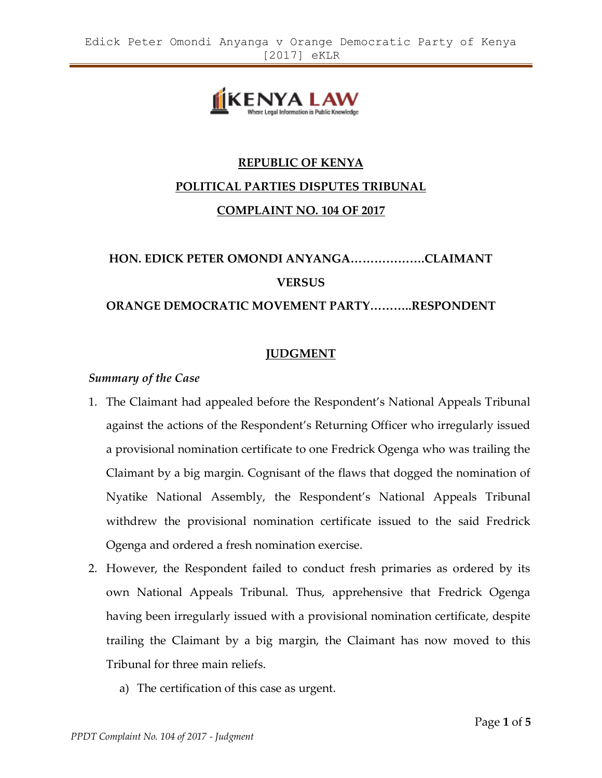

# **REPUBLIC OF KENYA POLITICAL PARTIES DISPUTES TRIBUNAL COMPLAINT NO. 104 OF 2017**

# **HON. EDICK PETER OMONDI ANYANGA……………….CLAIMANT VERSUS**

#### **ORANGE DEMOCRATIC MOVEMENT PARTY………..RESPONDENT**

# **JUDGMENT**

#### *Summary of the Case*

- 1. The Claimant had appealed before the Respondent's National Appeals Tribunal against the actions of the Respondent's Returning Officer who irregularly issued a provisional nomination certificate to one Fredrick Ogenga who was trailing the Claimant by a big margin. Cognisant of the flaws that dogged the nomination of Nyatike National Assembly, the Respondent's National Appeals Tribunal withdrew the provisional nomination certificate issued to the said Fredrick Ogenga and ordered a fresh nomination exercise.
- 2. However, the Respondent failed to conduct fresh primaries as ordered by its own National Appeals Tribunal. Thus, apprehensive that Fredrick Ogenga having been irregularly issued with a provisional nomination certificate, despite trailing the Claimant by a big margin, the Claimant has now moved to this Tribunal for three main reliefs.
	- a) The certification of this case as urgent.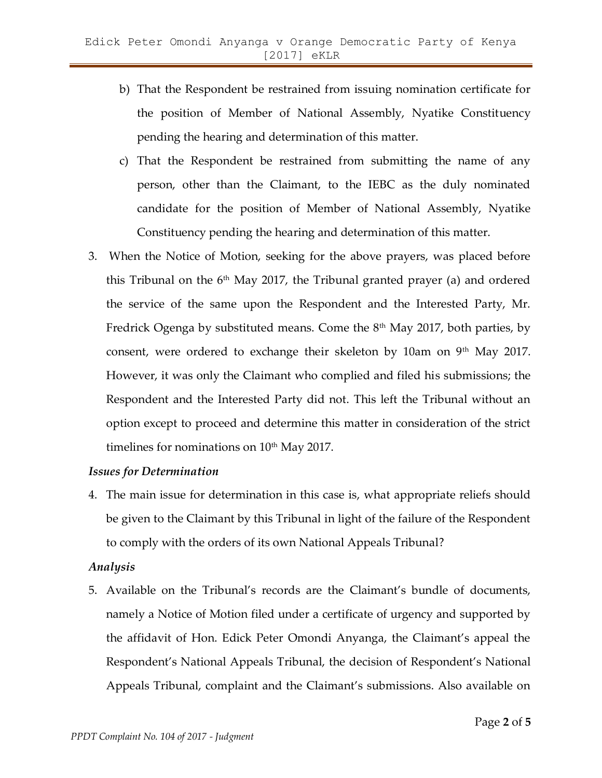- b) That the Respondent be restrained from issuing nomination certificate for the position of Member of National Assembly, Nyatike Constituency pending the hearing and determination of this matter.
- c) That the Respondent be restrained from submitting the name of any person, other than the Claimant, to the IEBC as the duly nominated candidate for the position of Member of National Assembly, Nyatike Constituency pending the hearing and determination of this matter.
- 3. When the Notice of Motion, seeking for the above prayers, was placed before this Tribunal on the  $6<sup>th</sup>$  May 2017, the Tribunal granted prayer (a) and ordered the service of the same upon the Respondent and the Interested Party, Mr. Fredrick Ogenga by substituted means. Come the  $8<sup>th</sup>$  May 2017, both parties, by consent, were ordered to exchange their skeleton by 10am on 9<sup>th</sup> May 2017. However, it was only the Claimant who complied and filed his submissions; the Respondent and the Interested Party did not. This left the Tribunal without an option except to proceed and determine this matter in consideration of the strict timelines for nominations on  $10<sup>th</sup>$  May 2017.

#### *Issues for Determination*

4. The main issue for determination in this case is, what appropriate reliefs should be given to the Claimant by this Tribunal in light of the failure of the Respondent to comply with the orders of its own National Appeals Tribunal?

## *Analysis*

5. Available on the Tribunal's records are the Claimant's bundle of documents, namely a Notice of Motion filed under a certificate of urgency and supported by the affidavit of Hon. Edick Peter Omondi Anyanga, the Claimant's appeal the Respondent's National Appeals Tribunal, the decision of Respondent's National Appeals Tribunal, complaint and the Claimant's submissions. Also available on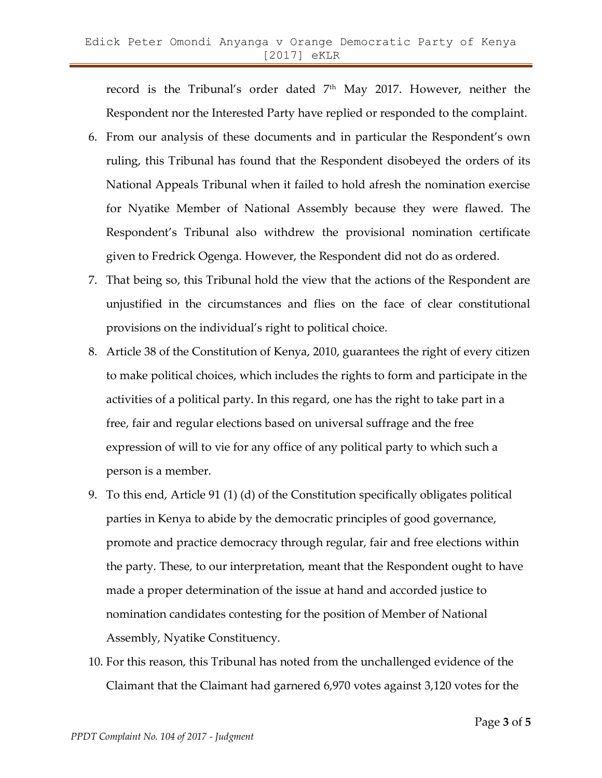record is the Tribunal's order dated 7<sup>th</sup> May 2017. However, neither the Respondent nor the Interested Party have replied or responded to the complaint.

- 6. From our analysis of these documents and in particular the Respondent's own ruling, this Tribunal has found that the Respondent disobeyed the orders of its National Appeals Tribunal when it failed to hold afresh the nomination exercise for Nyatike Member of National Assembly because they were flawed. The Respondent's Tribunal also withdrew the provisional nomination certificate given to Fredrick Ogenga. However, the Respondent did not do as ordered.
- 7. That being so, this Tribunal hold the view that the actions of the Respondent are unjustified in the circumstances and flies on the face of clear constitutional provisions on the individual's right to political choice.
- 8. Article 38 of the Constitution of Kenya, 2010, guarantees the right of every citizen to make political choices, which includes the rights to form and participate in the activities of a political party. In this regard, one has the right to take part in a free, fair and regular elections based on universal suffrage and the free expression of will to vie for any office of any political party to which such a person is a member.
- 9. To this end, Article 91 (1) (d) of the Constitution specifically obligates political parties in Kenya to abide by the democratic principles of good governance, promote and practice democracy through regular, fair and free elections within the party. These, to our interpretation, meant that the Respondent ought to have made a proper determination of the issue at hand and accorded justice to nomination candidates contesting for the position of Member of National Assembly, Nyatike Constituency.
- 10. For this reason, this Tribunal has noted from the unchallenged evidence of the Claimant that the Claimant had garnered 6,970 votes against 3,120 votes for the